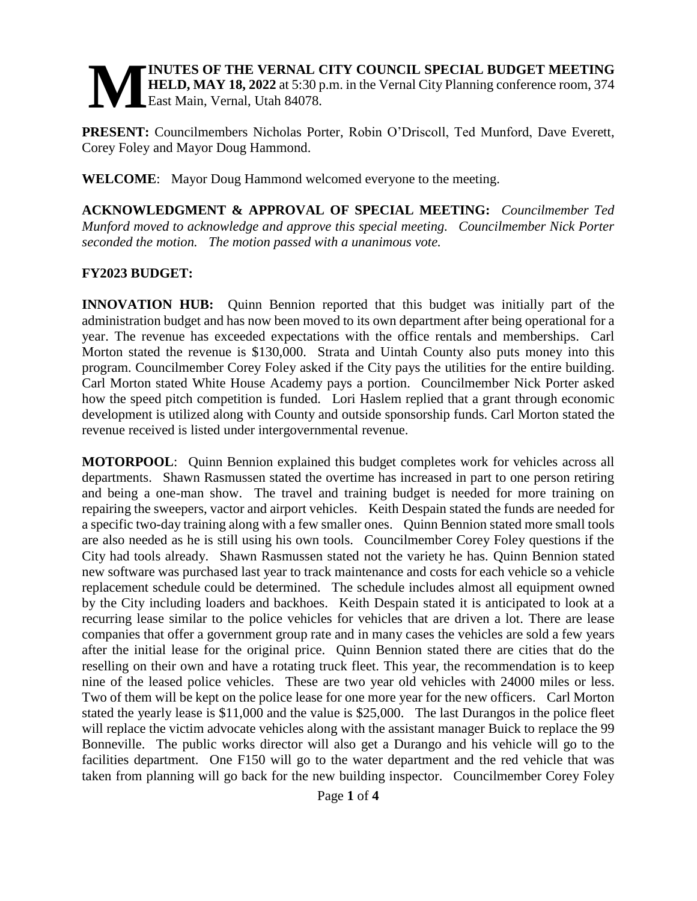#### **INUTES OF THE VERNAL CITY COUNCIL SPECIAL BUDGET MEETING HELD, MAY 18, 2022** at 5:30 p.m. in the Vernal City Planning conference room, 374 East Main, Vernal, Utah 84078. **M**

**PRESENT:** Councilmembers Nicholas Porter, Robin O'Driscoll, Ted Munford, Dave Everett, Corey Foley and Mayor Doug Hammond.

**WELCOME**: Mayor Doug Hammond welcomed everyone to the meeting.

**ACKNOWLEDGMENT & APPROVAL OF SPECIAL MEETING:** *Councilmember Ted Munford moved to acknowledge and approve this special meeting. Councilmember Nick Porter seconded the motion. The motion passed with a unanimous vote.* 

## **FY2023 BUDGET:**

**INNOVATION HUB:** Quinn Bennion reported that this budget was initially part of the administration budget and has now been moved to its own department after being operational for a year. The revenue has exceeded expectations with the office rentals and memberships. Carl Morton stated the revenue is \$130,000. Strata and Uintah County also puts money into this program. Councilmember Corey Foley asked if the City pays the utilities for the entire building. Carl Morton stated White House Academy pays a portion. Councilmember Nick Porter asked how the speed pitch competition is funded. Lori Haslem replied that a grant through economic development is utilized along with County and outside sponsorship funds. Carl Morton stated the revenue received is listed under intergovernmental revenue.

**MOTORPOOL**: Quinn Bennion explained this budget completes work for vehicles across all departments. Shawn Rasmussen stated the overtime has increased in part to one person retiring and being a one-man show. The travel and training budget is needed for more training on repairing the sweepers, vactor and airport vehicles. Keith Despain stated the funds are needed for a specific two-day training along with a few smaller ones. Quinn Bennion stated more small tools are also needed as he is still using his own tools. Councilmember Corey Foley questions if the City had tools already. Shawn Rasmussen stated not the variety he has. Quinn Bennion stated new software was purchased last year to track maintenance and costs for each vehicle so a vehicle replacement schedule could be determined. The schedule includes almost all equipment owned by the City including loaders and backhoes. Keith Despain stated it is anticipated to look at a recurring lease similar to the police vehicles for vehicles that are driven a lot. There are lease companies that offer a government group rate and in many cases the vehicles are sold a few years after the initial lease for the original price. Quinn Bennion stated there are cities that do the reselling on their own and have a rotating truck fleet. This year, the recommendation is to keep nine of the leased police vehicles. These are two year old vehicles with 24000 miles or less. Two of them will be kept on the police lease for one more year for the new officers. Carl Morton stated the yearly lease is \$11,000 and the value is \$25,000. The last Durangos in the police fleet will replace the victim advocate vehicles along with the assistant manager Buick to replace the 99 Bonneville. The public works director will also get a Durango and his vehicle will go to the facilities department. One F150 will go to the water department and the red vehicle that was taken from planning will go back for the new building inspector. Councilmember Corey Foley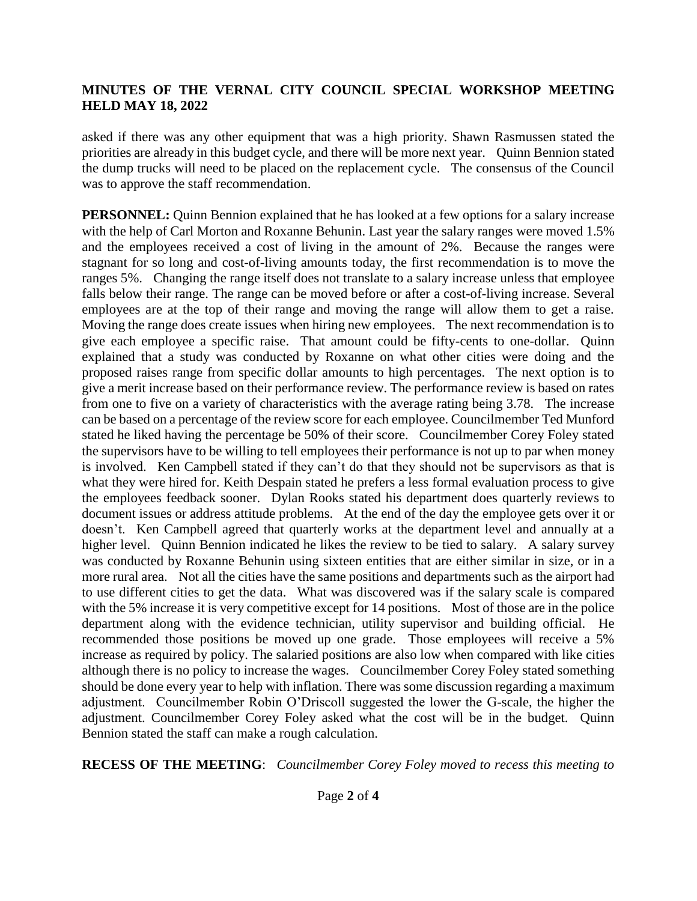# **MINUTES OF THE VERNAL CITY COUNCIL SPECIAL WORKSHOP MEETING HELD MAY 18, 2022**

asked if there was any other equipment that was a high priority. Shawn Rasmussen stated the priorities are already in this budget cycle, and there will be more next year. Quinn Bennion stated the dump trucks will need to be placed on the replacement cycle. The consensus of the Council was to approve the staff recommendation.

**PERSONNEL:** Quinn Bennion explained that he has looked at a few options for a salary increase with the help of Carl Morton and Roxanne Behunin. Last year the salary ranges were moved 1.5% and the employees received a cost of living in the amount of 2%. Because the ranges were stagnant for so long and cost-of-living amounts today, the first recommendation is to move the ranges 5%. Changing the range itself does not translate to a salary increase unless that employee falls below their range. The range can be moved before or after a cost-of-living increase. Several employees are at the top of their range and moving the range will allow them to get a raise. Moving the range does create issues when hiring new employees. The next recommendation is to give each employee a specific raise. That amount could be fifty-cents to one-dollar. Quinn explained that a study was conducted by Roxanne on what other cities were doing and the proposed raises range from specific dollar amounts to high percentages. The next option is to give a merit increase based on their performance review. The performance review is based on rates from one to five on a variety of characteristics with the average rating being 3.78. The increase can be based on a percentage of the review score for each employee. Councilmember Ted Munford stated he liked having the percentage be 50% of their score. Councilmember Corey Foley stated the supervisors have to be willing to tell employees their performance is not up to par when money is involved. Ken Campbell stated if they can't do that they should not be supervisors as that is what they were hired for. Keith Despain stated he prefers a less formal evaluation process to give the employees feedback sooner. Dylan Rooks stated his department does quarterly reviews to document issues or address attitude problems. At the end of the day the employee gets over it or doesn't. Ken Campbell agreed that quarterly works at the department level and annually at a higher level. Quinn Bennion indicated he likes the review to be tied to salary. A salary survey was conducted by Roxanne Behunin using sixteen entities that are either similar in size, or in a more rural area. Not all the cities have the same positions and departments such as the airport had to use different cities to get the data. What was discovered was if the salary scale is compared with the 5% increase it is very competitive except for 14 positions. Most of those are in the police department along with the evidence technician, utility supervisor and building official. He recommended those positions be moved up one grade. Those employees will receive a 5% increase as required by policy. The salaried positions are also low when compared with like cities although there is no policy to increase the wages. Councilmember Corey Foley stated something should be done every year to help with inflation. There was some discussion regarding a maximum adjustment. Councilmember Robin O'Driscoll suggested the lower the G-scale, the higher the adjustment. Councilmember Corey Foley asked what the cost will be in the budget. Quinn Bennion stated the staff can make a rough calculation.

**RECESS OF THE MEETING**: *Councilmember Corey Foley moved to recess this meeting to*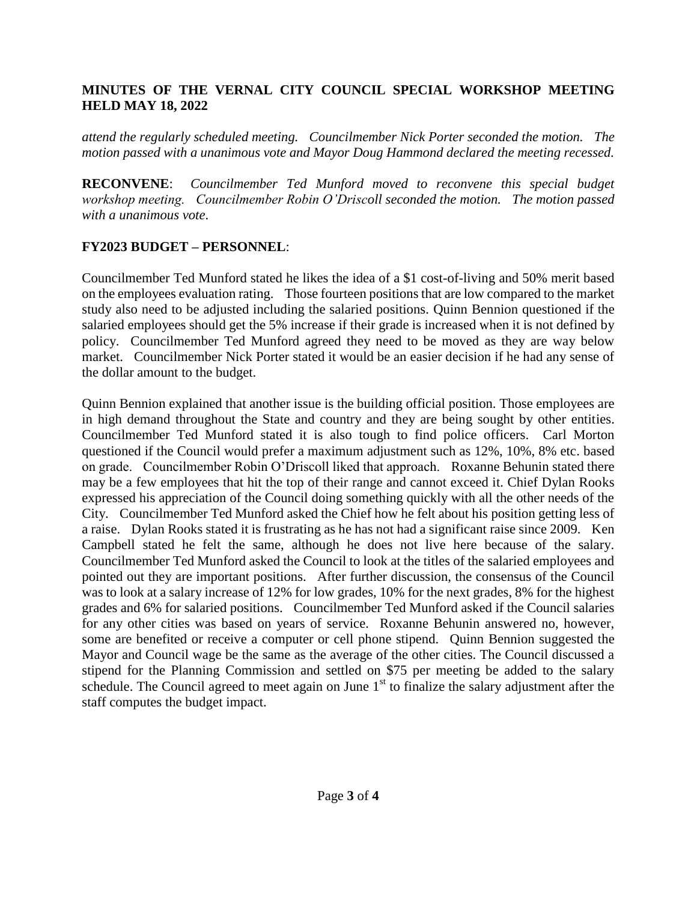# **MINUTES OF THE VERNAL CITY COUNCIL SPECIAL WORKSHOP MEETING HELD MAY 18, 2022**

*attend the regularly scheduled meeting. Councilmember Nick Porter seconded the motion. The motion passed with a unanimous vote and Mayor Doug Hammond declared the meeting recessed.* 

**RECONVENE**: *Councilmember Ted Munford moved to reconvene this special budget workshop meeting. Councilmember Robin O'Driscoll seconded the motion. The motion passed with a unanimous vote*.

# **FY2023 BUDGET – PERSONNEL**:

Councilmember Ted Munford stated he likes the idea of a \$1 cost-of-living and 50% merit based on the employees evaluation rating. Those fourteen positions that are low compared to the market study also need to be adjusted including the salaried positions. Quinn Bennion questioned if the salaried employees should get the 5% increase if their grade is increased when it is not defined by policy. Councilmember Ted Munford agreed they need to be moved as they are way below market. Councilmember Nick Porter stated it would be an easier decision if he had any sense of the dollar amount to the budget.

Quinn Bennion explained that another issue is the building official position. Those employees are in high demand throughout the State and country and they are being sought by other entities. Councilmember Ted Munford stated it is also tough to find police officers. Carl Morton questioned if the Council would prefer a maximum adjustment such as 12%, 10%, 8% etc. based on grade. Councilmember Robin O'Driscoll liked that approach. Roxanne Behunin stated there may be a few employees that hit the top of their range and cannot exceed it. Chief Dylan Rooks expressed his appreciation of the Council doing something quickly with all the other needs of the City. Councilmember Ted Munford asked the Chief how he felt about his position getting less of a raise. Dylan Rooks stated it is frustrating as he has not had a significant raise since 2009. Ken Campbell stated he felt the same, although he does not live here because of the salary. Councilmember Ted Munford asked the Council to look at the titles of the salaried employees and pointed out they are important positions. After further discussion, the consensus of the Council was to look at a salary increase of 12% for low grades, 10% for the next grades, 8% for the highest grades and 6% for salaried positions. Councilmember Ted Munford asked if the Council salaries for any other cities was based on years of service. Roxanne Behunin answered no, however, some are benefited or receive a computer or cell phone stipend. Quinn Bennion suggested the Mayor and Council wage be the same as the average of the other cities. The Council discussed a stipend for the Planning Commission and settled on \$75 per meeting be added to the salary schedule. The Council agreed to meet again on June  $1<sup>st</sup>$  to finalize the salary adjustment after the staff computes the budget impact.